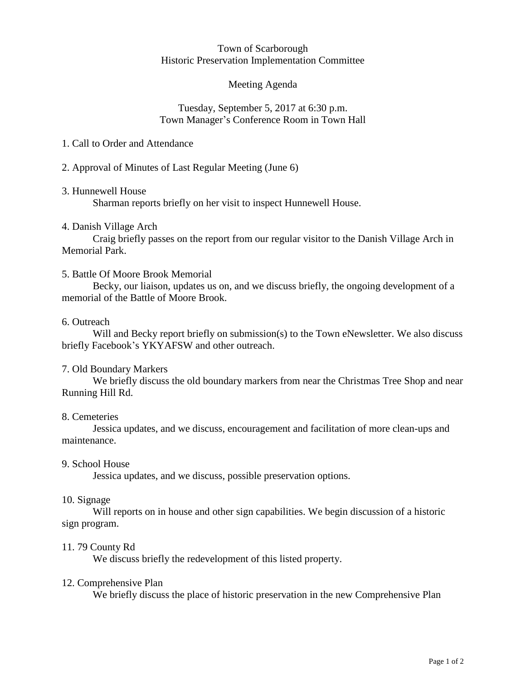#### Town of Scarborough Historic Preservation Implementation Committee

## Meeting Agenda

### Tuesday, September 5, 2017 at 6:30 p.m. Town Manager's Conference Room in Town Hall

## 1. Call to Order and Attendance

## 2. Approval of Minutes of Last Regular Meeting (June 6)

## 3. Hunnewell House

Sharman reports briefly on her visit to inspect Hunnewell House.

## 4. Danish Village Arch

Craig briefly passes on the report from our regular visitor to the Danish Village Arch in Memorial Park.

## 5. Battle Of Moore Brook Memorial

Becky, our liaison, updates us on, and we discuss briefly, the ongoing development of a memorial of the Battle of Moore Brook.

### 6. Outreach

Will and Becky report briefly on submission(s) to the Town eNewsletter. We also discuss briefly Facebook's YKYAFSW and other outreach.

# 7. Old Boundary Markers

We briefly discuss the old boundary markers from near the Christmas Tree Shop and near Running Hill Rd.

### 8. Cemeteries

Jessica updates, and we discuss, encouragement and facilitation of more clean-ups and maintenance.

### 9. School House

Jessica updates, and we discuss, possible preservation options.

### 10. Signage

Will reports on in house and other sign capabilities. We begin discussion of a historic sign program.

### 11. 79 County Rd

We discuss briefly the redevelopment of this listed property.

### 12. Comprehensive Plan

We briefly discuss the place of historic preservation in the new Comprehensive Plan